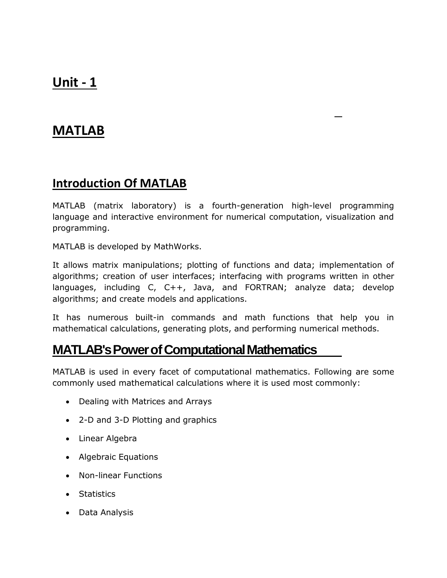# **Unit - 1**

# **MATLAB**

## **Introduction Of MATLAB**

MATLAB (matrix laboratory) is a fourth-generation high-level programming language and interactive environment for numerical computation, visualization and programming.

MATLAB is developed by MathWorks.

It allows matrix manipulations; plotting of functions and data; implementation of algorithms; creation of user interfaces; interfacing with programs written in other languages, including C, C++, Java, and FORTRAN; analyze data; develop algorithms; and create models and applications.

It has numerous built-in commands and math functions that help you in mathematical calculations, generating plots, and performing numerical methods.

# **MATLAB'sPowerofComputationalMathematics**

MATLAB is used in every facet of computational mathematics. Following are some commonly used mathematical calculations where it is used most commonly:

- Dealing with Matrices and Arrays
- 2-D and 3-D Plotting and graphics
- Linear Algebra
- Algebraic Equations
- Non-linear Functions
- Statistics
- Data Analysis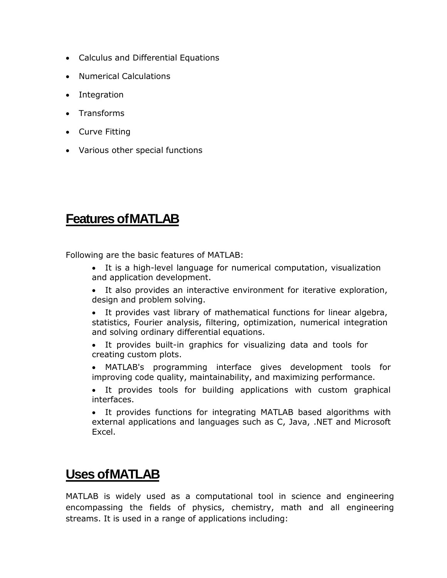- Calculus and Differential Equations
- Numerical Calculations
- Integration
- Transforms
- Curve Fitting
- Various other special functions

# **Features ofMATLAB**

Following are the basic features of MATLAB:

- It is a high-level language for numerical computation, visualization and application development.
- It also provides an interactive environment for iterative exploration, design and problem solving.
- It provides vast library of mathematical functions for linear algebra, statistics, Fourier analysis, filtering, optimization, numerical integration and solving ordinary differential equations.
- It provides built-in graphics for visualizing data and tools for creating custom plots.
- MATLAB's programming interface gives development tools for improving code quality, maintainability, and maximizing performance.
- It provides tools for building applications with custom graphical interfaces.
- It provides functions for integrating MATLAB based algorithms with external applications and languages such as C, Java, .NET and Microsoft Excel.

# **Uses ofMATLAB**

MATLAB is widely used as a computational tool in science and engineering encompassing the fields of physics, chemistry, math and all engineering streams. It is used in a range of applications including: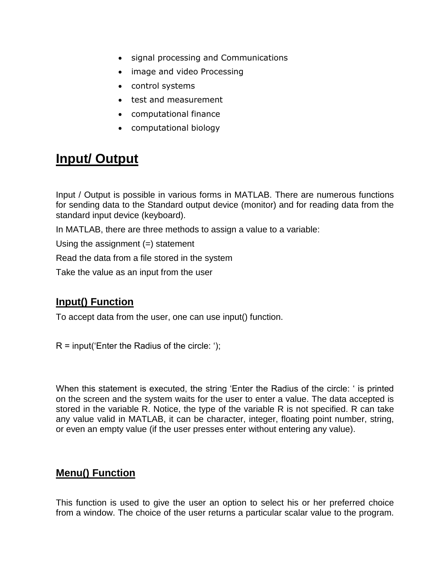- signal processing and Communications
- image and video Processing
- control systems
- test and measurement
- computational finance
- computational biology

# **Input/ Output**

Input / Output is possible in various forms in MATLAB. There are numerous functions for sending data to the Standard output device (monitor) and for reading data from the standard input device (keyboard).

In MATLAB, there are three methods to assign a value to a variable:

Using the assignment  $(=)$  statement

Read the data from a file stored in the system

Take the value as an input from the user

### **Input() Function**

To accept data from the user, one can use input() function.

 $R =$  input('Enter the Radius of the circle: ');

When this statement is executed, the string 'Enter the Radius of the circle: ' is printed on the screen and the system waits for the user to enter a value. The data accepted is stored in the variable R. Notice, the type of the variable R is not specified. R can take any value valid in MATLAB, it can be character, integer, floating point number, string, or even an empty value (if the user presses enter without entering any value).

#### **Menu() Function**

This function is used to give the user an option to select his or her preferred choice from a window. The choice of the user returns a particular scalar value to the program.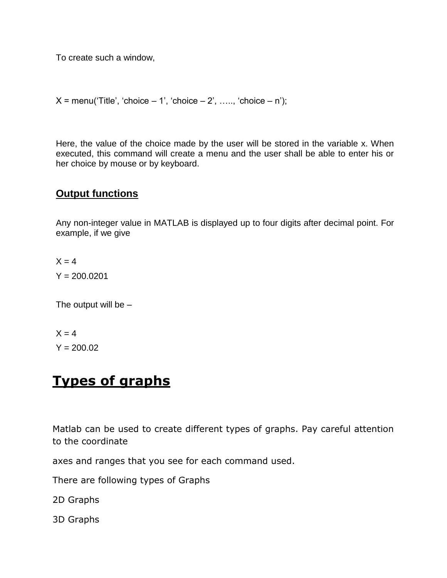To create such a window,

 $X = \text{menu}('Title', 'choice - 1', 'choice - 2', ..., 'choice - n');$ 

Here, the value of the choice made by the user will be stored in the variable x. When executed, this command will create a menu and the user shall be able to enter his or her choice by mouse or by keyboard.

#### **Output functions**

Any non-integer value in MATLAB is displayed up to four digits after decimal point. For example, if we give

 $X = 4$  $Y = 200.0201$ 

The output will be  $-$ 

 $X = 4$  $Y = 200.02$ 

# **Types of graphs**

Matlab can be used to create different types of graphs. Pay careful attention to the coordinate

axes and ranges that you see for each command used.

There are following types of Graphs

2D Graphs

3D Graphs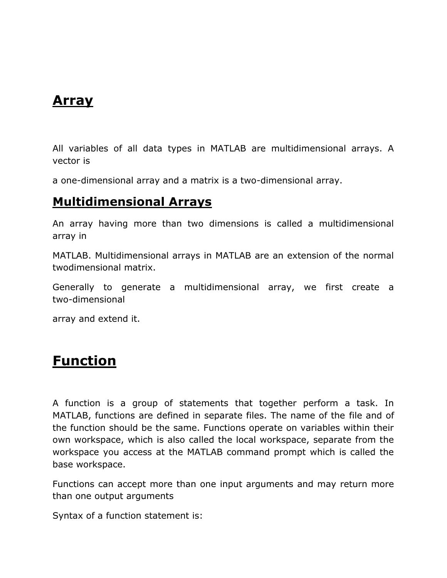# **Array**

All variables of all data types in MATLAB are multidimensional arrays. A vector is

a one-dimensional array and a matrix is a two-dimensional array.

# **Multidimensional Arrays**

An array having more than two dimensions is called a multidimensional array in

MATLAB. Multidimensional arrays in MATLAB are an extension of the normal twodimensional matrix.

Generally to generate a multidimensional array, we first create a two-dimensional

array and extend it.

# **Function**

A function is a group of statements that together perform a task. In MATLAB, functions are defined in separate files. The name of the file and of the function should be the same. Functions operate on variables within their own workspace, which is also called the local workspace, separate from the workspace you access at the MATLAB command prompt which is called the base workspace.

Functions can accept more than one input arguments and may return more than one output arguments

Syntax of a function statement is: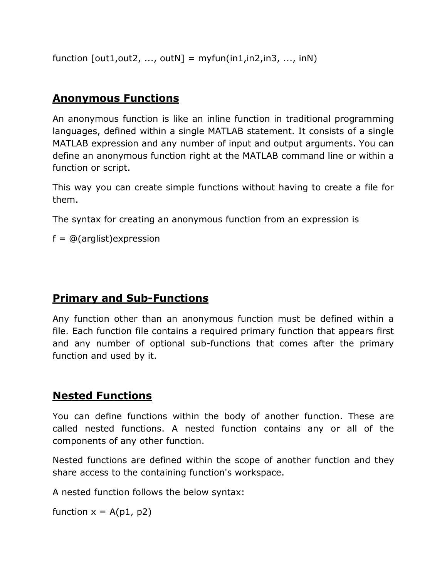function  $\lceil \text{out1}, \text{out2}, \ldots, \text{outN} \rceil = \text{myfun}(\text{in1}, \text{in2}, \text{in3}, \ldots, \text{inN})$ 

### **Anonymous Functions**

An anonymous function is like an inline function in traditional programming languages, defined within a single MATLAB statement. It consists of a single MATLAB expression and any number of input and output arguments. You can define an anonymous function right at the MATLAB command line or within a function or script.

This way you can create simple functions without having to create a file for them.

The syntax for creating an anonymous function from an expression is

 $f = \mathcal{Q}(\text{arglist})$ expression

### **Primary and Sub-Functions**

Any function other than an anonymous function must be defined within a file. Each function file contains a required primary function that appears first and any number of optional sub-functions that comes after the primary function and used by it.

### **Nested Functions**

You can define functions within the body of another function. These are called nested functions. A nested function contains any or all of the components of any other function.

Nested functions are defined within the scope of another function and they share access to the containing function's workspace.

A nested function follows the below syntax:

function  $x = A(p1, p2)$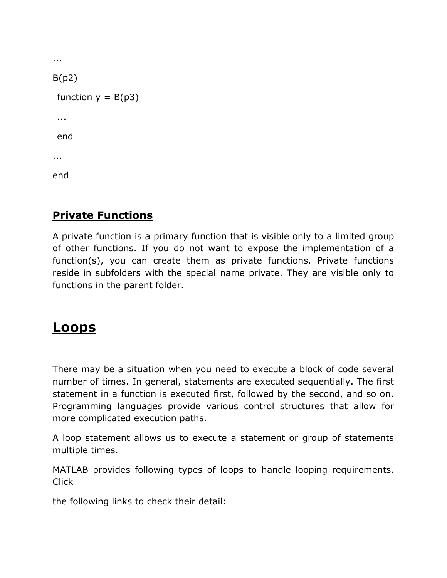```
...
B(p2)function y = B(p3)...
 end
...
end
```
# **Private Functions**

A private function is a primary function that is visible only to a limited group of other functions. If you do not want to expose the implementation of a function(s), you can create them as private functions. Private functions reside in subfolders with the special name private. They are visible only to functions in the parent folder.

# **Loops**

There may be a situation when you need to execute a block of code several number of times. In general, statements are executed sequentially. The first statement in a function is executed first, followed by the second, and so on. Programming languages provide various control structures that allow for more complicated execution paths.

A loop statement allows us to execute a statement or group of statements multiple times.

MATLAB provides following types of loops to handle looping requirements. **Click** 

the following links to check their detail: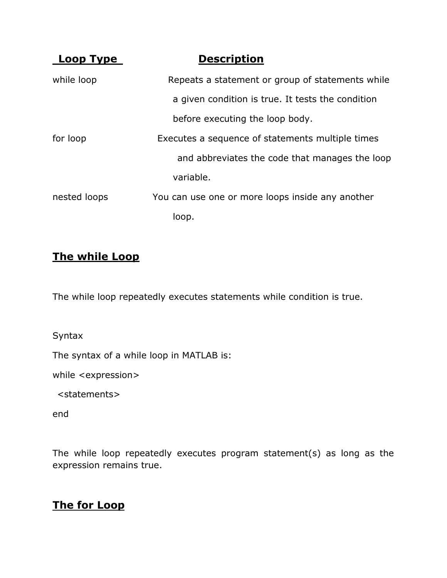| L <u>oop Type</u> | <b>Description</b>                                |
|-------------------|---------------------------------------------------|
| while loop        | Repeats a statement or group of statements while  |
|                   | a given condition is true. It tests the condition |
|                   | before executing the loop body.                   |
| for loop          | Executes a sequence of statements multiple times  |
|                   | and abbreviates the code that manages the loop    |
|                   | variable.                                         |
| nested loops      | You can use one or more loops inside any another  |
|                   | loop.                                             |

### **The while Loop**

The while loop repeatedly executes statements while condition is true.

Syntax

The syntax of a while loop in MATLAB is:

while <expression>

<statements>

end

The while loop repeatedly executes program statement(s) as long as the expression remains true.

### **The for Loop**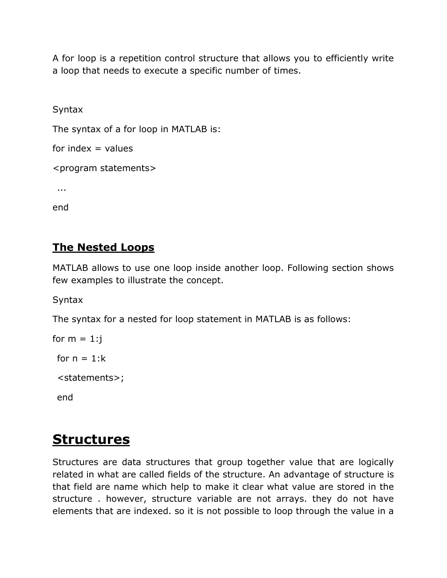A for loop is a repetition control structure that allows you to efficiently write a loop that needs to execute a specific number of times.

Syntax

The syntax of a for loop in MATLAB is:

for index  $=$  values

<program statements>

...

end

### **The Nested Loops**

MATLAB allows to use one loop inside another loop. Following section shows few examples to illustrate the concept.

**Syntax** 

The syntax for a nested for loop statement in MATLAB is as follows:

```
for m = 1:jfor n = 1:k<statements>;
end
```
# **Structures**

Structures are data structures that group together value that are logically related in what are called fields of the structure. An advantage of structure is that field are name which help to make it clear what value are stored in the structure . however, structure variable are not arrays. they do not have elements that are indexed. so it is not possible to loop through the value in a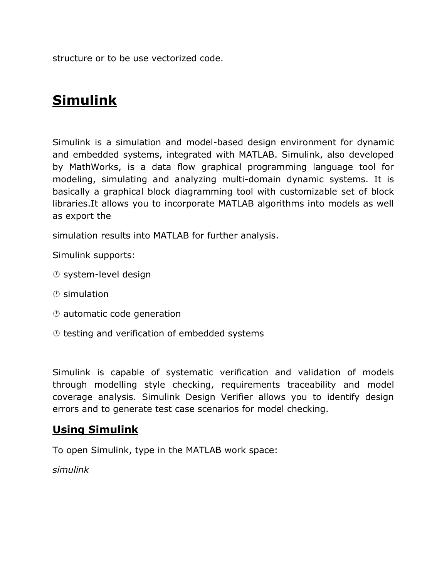structure or to be use vectorized code.

# **Simulink**

Simulink is a simulation and model-based design environment for dynamic and embedded systems, integrated with MATLAB. Simulink, also developed by MathWorks, is a data flow graphical programming language tool for modeling, simulating and analyzing multi-domain dynamic systems. It is basically a graphical block diagramming tool with customizable set of block libraries.It allows you to incorporate MATLAB algorithms into models as well as export the

simulation results into MATLAB for further analysis.

Simulink supports:

- system-level design
- simulation
- automatic code generation
- $\circledcirc$  testing and verification of embedded systems

Simulink is capable of systematic verification and validation of models through modelling style checking, requirements traceability and model coverage analysis. Simulink Design Verifier allows you to identify design errors and to generate test case scenarios for model checking.

#### **Using Simulink**

To open Simulink, type in the MATLAB work space:

*simulink*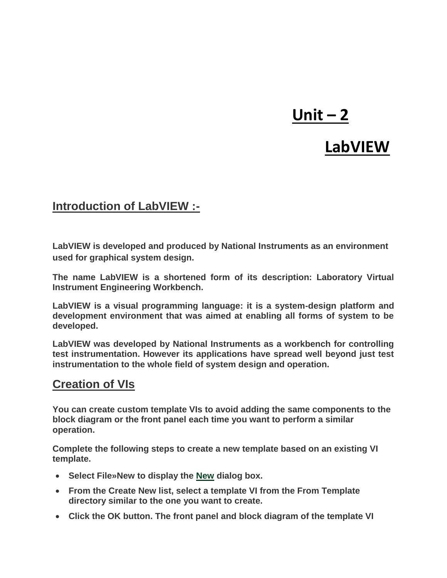# **Unit – 2**

# **LabVIEW**

### **Introduction of LabVIEW :-**

**LabVIEW is developed and produced by National Instruments as an environment used for graphical system design.**

**The name LabVIEW is a shortened form of its description: Laboratory Virtual Instrument Engineering Workbench.**

**LabVIEW is a visual programming language: it is a system-design platform and development environment that was aimed at enabling all forms of system to be developed.**

**LabVIEW was developed by National Instruments as a workbench for controlling test instrumentation. However its applications have spread well beyond just test instrumentation to the whole field of system design and operation.**

### **Creation of VIs**

**You can create custom template VIs to avoid adding the same components to the block diagram or the front panel each time you want to perform a similar operation.**

**Complete the following steps to create a new template based on an existing VI template.**

- **Select File»New to display the [New](https://zone.ni.com/reference/en-XX/help/371361R-01/lvdialog/new_dialog_box/) dialog box.**
- **From the Create New list, select a template VI from the From Template directory similar to the one you want to create.**
- **Click the OK button. The front panel and block diagram of the template VI**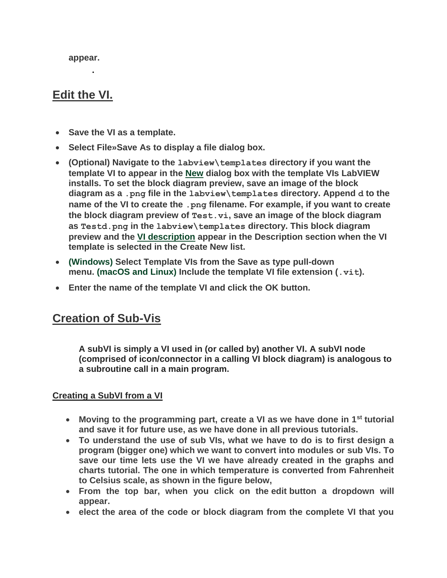**appear.**

**.**

## **Edit the VI.**

- **Save the VI as a template.**
- **Select File»Save As to display a file dialog box.**
- **(Optional) Navigate to the labview\templates directory if you want the template VI to appear in the [New](https://zone.ni.com/reference/en-XX/help/371361R-01/lvdialog/new_dialog_box/) dialog box with the template VIs LabVIEW installs. To set the block diagram preview, save an image of the block diagram as a .png file in the labview\templates directory. Append d to the name of the VI to create the .png filename. For example, if you want to create the block diagram preview of Test.vi, save an image of the block diagram as Testd.png in the labview\templates directory. This block diagram preview and the [VI description](https://zone.ni.com/reference/en-XX/help/371361R-01/lvhowto/creatingediting_vi_desc/) appear in the Description section when the VI template is selected in the Create New list.**
- **(Windows) Select Template VIs from the Save as type pull-down menu. (macOS and Linux) Include the template VI file extension (.vit).**
- **Enter the name of the template VI and click the OK button.**

### **Creation of Sub-Vis**

**A subVI is simply a VI used in (or called by) another VI. A subVI node (comprised of icon/connector in a calling VI block diagram) is analogous to a subroutine call in a main program.**

#### **Creating a SubVI from a VI**

- **Moving to the programming part, create a VI as we have done in 1st tutorial and save it for future use, as we have done in all previous tutorials.**
- **To understand the use of sub VIs, what we have to do is to first design a program (bigger one) which we want to convert into modules or sub VIs. To save our time lets use the VI we have already created in the graphs and charts tutorial. The one in which temperature is converted from Fahrenheit to Celsius scale, as shown in the figure below,**
- **From the top bar, when you click on the edit button a dropdown will appear.**
- **e** elect the area of the code or block diagram from the complete VI that you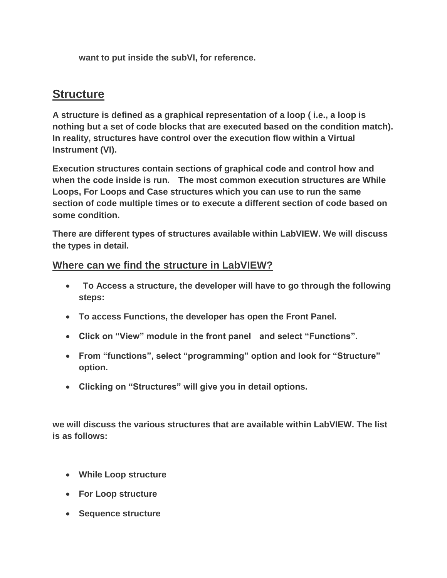**want to put inside the subVI, for reference.**

### **Structure**

**A structure is defined as a graphical representation of a loop ( i.e., a loop is nothing but a set of code blocks that are executed based on the condition match). In reality, structures have control over the execution flow within a Virtual Instrument (VI).**

**Execution structures contain sections of graphical code and control how and when the code inside is run. The most common execution structures are While Loops, For Loops and Case structures which you can use to run the same section of code multiple times or to execute a different section of code based on some condition.**

**There are different types of structures available within LabVIEW. We will discuss the types in detail.**

#### **Where can we find the structure in LabVIEW?**

- **To Access a structure, the developer will have to go through the following steps:**
- **To access Functions, the developer has open the Front Panel.**
- **Click on "View" module in the front panel and select "Functions".**
- **From "functions", select "programming" option and look for "Structure" option.**
- **Clicking on "Structures" will give you in detail options.**

**we will discuss the various structures that are available within LabVIEW. The list is as follows:**

- **While Loop structure**
- **For Loop structure**
- **Sequence structure**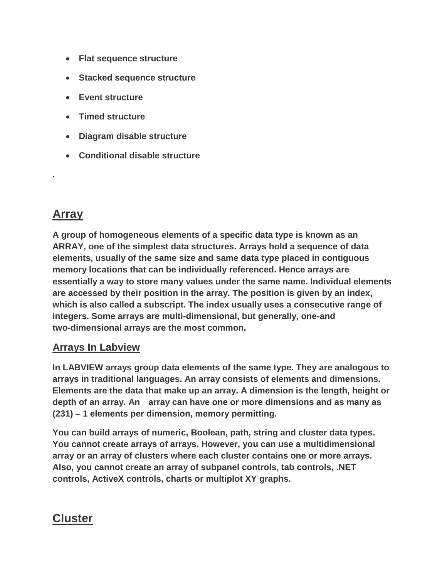- **Flat sequence structure**
- **Stacked sequence structure**
- **Event structure**
- **Timed structure**
- **Diagram disable structure**
- **Conditional disable structure**

## **Array**

**.**

**A group of homogeneous elements of a specific data type is known as an ARRAY, one of the simplest data structures. Arrays hold a sequence of data elements, usually of the same size and same data type placed in contiguous memory locations that can be individually referenced. Hence arrays are essentially a way to store many values under the same name. Individual elements are accessed by their position in the array. The position is given by an index, which is also called a subscript. The index usually uses a consecutive range of integers. Some arrays are multi-dimensional, but generally, one-and two-dimensional arrays are the most common.**

#### **Arrays In Labview**

**In LABVIEW arrays group data elements of the same type. They are analogous to arrays in traditional languages. An array consists of elements and dimensions. Elements are the data that make up an array. A dimension is the length, height or depth of an array. An array can have one or more dimensions and as many as (231) – 1 elements per dimension, memory permitting.**

**You can build arrays of numeric, Boolean, path, string and cluster data types. You cannot create arrays of arrays. However, you can use a multidimensional array or an array of clusters where each cluster contains one or more arrays. Also, you cannot create an array of subpanel controls, tab controls, .NET controls, ActiveX controls, charts or multiplot XY graphs.**

## **Cluster**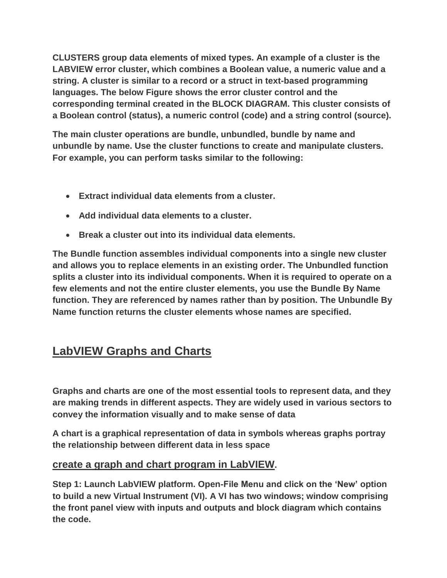**CLUSTERS group data elements of mixed types. An example of a cluster is the LABVIEW error cluster, which combines a Boolean value, a numeric value and a string. A cluster is similar to a record or a struct in text-based programming languages. The below Figure shows the error cluster control and the corresponding terminal created in the BLOCK DIAGRAM. This cluster consists of a Boolean control (status), a numeric control (code) and a string control (source).**

**The main cluster operations are bundle, unbundled, bundle by name and unbundle by name. Use the cluster functions to create and manipulate clusters. For example, you can perform tasks similar to the following:**

- **Extract individual data elements from a cluster.**
- **Add individual data elements to a cluster.**
- **Break a cluster out into its individual data elements.**

**The Bundle function assembles individual components into a single new cluster and allows you to replace elements in an existing order. The Unbundled function splits a cluster into its individual components. When it is required to operate on a few elements and not the entire cluster elements, you use the Bundle By Name function. They are referenced by names rather than by position. The Unbundle By Name function returns the cluster elements whose names are specified.**

# **LabVIEW Graphs and Charts**

**Graphs and charts are one of the most essential tools to represent data, and they are making trends in different aspects. They are widely used in various sectors to convey the information visually and to make sense of data**

**A chart is a graphical representation of data in symbols whereas graphs portray the relationship between different data in less space**

#### **create a graph and chart program in LabVIEW.**

**Step 1: Launch LabVIEW platform. Open-File Menu and click on the 'New' option to build a new Virtual Instrument (VI). A VI has two windows; window comprising the front panel view with inputs and outputs and block diagram which contains the code.**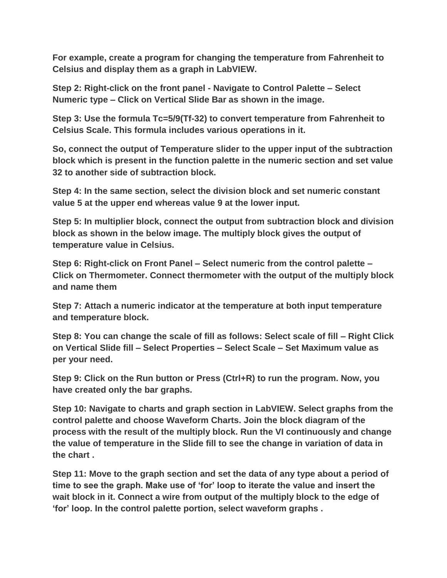**For example, create a program for changing the temperature from Fahrenheit to Celsius and display them as a graph in LabVIEW.** 

**Step 2: Right-click on the front panel - Navigate to Control Palette – Select Numeric type – Click on Vertical Slide Bar as shown in the image.** 

**Step 3: Use the formula Tc=5/9(Tf-32) to convert temperature from Fahrenheit to Celsius Scale. This formula includes various operations in it.**

**So, connect the output of Temperature slider to the upper input of the subtraction block which is present in the function palette in the numeric section and set value 32 to another side of subtraction block.** 

**Step 4: In the same section, select the division block and set numeric constant value 5 at the upper end whereas value 9 at the lower input.** 

**Step 5: In multiplier block, connect the output from subtraction block and division block as shown in the below image. The multiply block gives the output of temperature value in Celsius.**

**Step 6: Right-click on Front Panel – Select numeric from the control palette – Click on Thermometer. Connect thermometer with the output of the multiply block and name them**

**Step 7: Attach a numeric indicator at the temperature at both input temperature and temperature block.**

**Step 8: You can change the scale of fill as follows: Select scale of fill – Right Click on Vertical Slide fill – Select Properties – Select Scale – Set Maximum value as per your need.** 

**Step 9: Click on the Run button or Press (Ctrl+R) to run the program. Now, you have created only the bar graphs.** 

**Step 10: Navigate to charts and graph section in LabVIEW. Select graphs from the control palette and choose Waveform Charts. Join the block diagram of the process with the result of the multiply block. Run the VI continuously and change the value of temperature in the Slide fill to see the change in variation of data in the chart .** 

**Step 11: Move to the graph section and set the data of any type about a period of time to see the graph. Make use of 'for' loop to iterate the value and insert the wait block in it. Connect a wire from output of the multiply block to the edge of 'for' loop. In the control palette portion, select waveform graphs .**